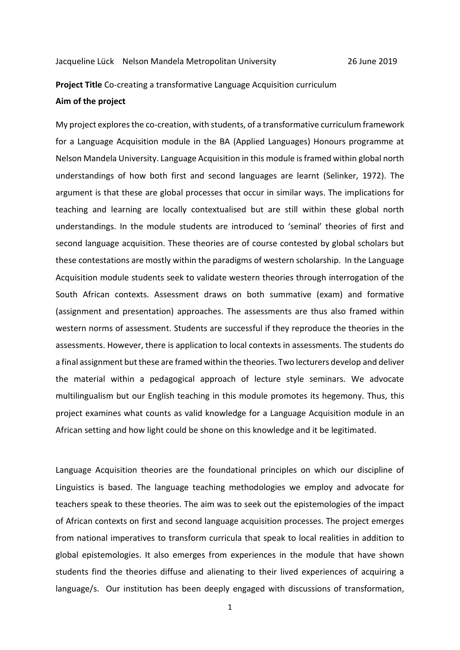Jacqueline Lück Nelson Mandela Metropolitan University 26 June 2019

## **Project Title** Co-creating a transformative Language Acquisition curriculum

### **Aim of the project**

My project explores the co-creation, with students, of a transformative curriculum framework for a Language Acquisition module in the BA (Applied Languages) Honours programme at Nelson Mandela University. Language Acquisition in this module is framed within global north understandings of how both first and second languages are learnt (Selinker, 1972). The argument is that these are global processes that occur in similar ways. The implications for teaching and learning are locally contextualised but are still within these global north understandings. In the module students are introduced to 'seminal' theories of first and second language acquisition. These theories are of course contested by global scholars but these contestations are mostly within the paradigms of western scholarship. In the Language Acquisition module students seek to validate western theories through interrogation of the South African contexts. Assessment draws on both summative (exam) and formative (assignment and presentation) approaches. The assessments are thus also framed within western norms of assessment. Students are successful if they reproduce the theories in the assessments. However, there is application to local contexts in assessments. The students do a final assignment but these are framed within the theories. Two lecturers develop and deliver the material within a pedagogical approach of lecture style seminars. We advocate multilingualism but our English teaching in this module promotes its hegemony. Thus, this project examines what counts as valid knowledge for a Language Acquisition module in an African setting and how light could be shone on this knowledge and it be legitimated.

Language Acquisition theories are the foundational principles on which our discipline of Linguistics is based. The language teaching methodologies we employ and advocate for teachers speak to these theories. The aim was to seek out the epistemologies of the impact of African contexts on first and second language acquisition processes. The project emerges from national imperatives to transform curricula that speak to local realities in addition to global epistemologies. It also emerges from experiences in the module that have shown students find the theories diffuse and alienating to their lived experiences of acquiring a language/s. Our institution has been deeply engaged with discussions of transformation,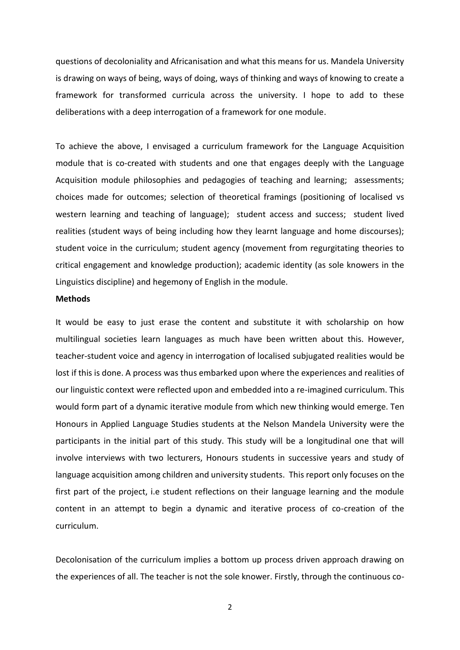questions of decoloniality and Africanisation and what this means for us. Mandela University is drawing on ways of being, ways of doing, ways of thinking and ways of knowing to create a framework for transformed curricula across the university. I hope to add to these deliberations with a deep interrogation of a framework for one module.

To achieve the above, I envisaged a curriculum framework for the Language Acquisition module that is co-created with students and one that engages deeply with the Language Acquisition module philosophies and pedagogies of teaching and learning; assessments; choices made for outcomes; selection of theoretical framings (positioning of localised vs western learning and teaching of language); student access and success; student lived realities (student ways of being including how they learnt language and home discourses); student voice in the curriculum; student agency (movement from regurgitating theories to critical engagement and knowledge production); academic identity (as sole knowers in the Linguistics discipline) and hegemony of English in the module.

#### **Methods**

It would be easy to just erase the content and substitute it with scholarship on how multilingual societies learn languages as much have been written about this. However, teacher-student voice and agency in interrogation of localised subjugated realities would be lost if this is done. A process was thus embarked upon where the experiences and realities of our linguistic context were reflected upon and embedded into a re-imagined curriculum. This would form part of a dynamic iterative module from which new thinking would emerge. Ten Honours in Applied Language Studies students at the Nelson Mandela University were the participants in the initial part of this study. This study will be a longitudinal one that will involve interviews with two lecturers, Honours students in successive years and study of language acquisition among children and university students. This report only focuses on the first part of the project, i.e student reflections on their language learning and the module content in an attempt to begin a dynamic and iterative process of co-creation of the curriculum.

Decolonisation of the curriculum implies a bottom up process driven approach drawing on the experiences of all. The teacher is not the sole knower. Firstly, through the continuous co-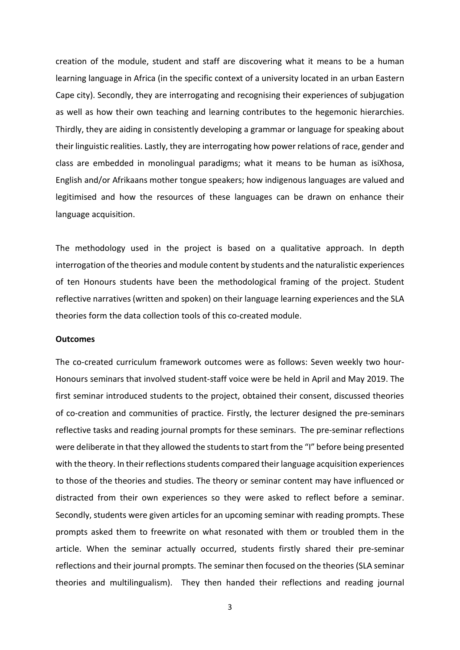creation of the module, student and staff are discovering what it means to be a human learning language in Africa (in the specific context of a university located in an urban Eastern Cape city). Secondly, they are interrogating and recognising their experiences of subjugation as well as how their own teaching and learning contributes to the hegemonic hierarchies. Thirdly, they are aiding in consistently developing a grammar or language for speaking about their linguistic realities. Lastly, they are interrogating how power relations of race, gender and class are embedded in monolingual paradigms; what it means to be human as isiXhosa, English and/or Afrikaans mother tongue speakers; how indigenous languages are valued and legitimised and how the resources of these languages can be drawn on enhance their language acquisition.

The methodology used in the project is based on a qualitative approach. In depth interrogation of the theories and module content by students and the naturalistic experiences of ten Honours students have been the methodological framing of the project. Student reflective narratives (written and spoken) on their language learning experiences and the SLA theories form the data collection tools of this co-created module.

#### **Outcomes**

The co-created curriculum framework outcomes were as follows: Seven weekly two hour-Honours seminars that involved student-staff voice were be held in April and May 2019. The first seminar introduced students to the project, obtained their consent, discussed theories of co-creation and communities of practice. Firstly, the lecturer designed the pre-seminars reflective tasks and reading journal prompts for these seminars. The pre-seminar reflections were deliberate in that they allowed the students to start from the "I" before being presented with the theory. In their reflections students compared their language acquisition experiences to those of the theories and studies. The theory or seminar content may have influenced or distracted from their own experiences so they were asked to reflect before a seminar. Secondly, students were given articles for an upcoming seminar with reading prompts. These prompts asked them to freewrite on what resonated with them or troubled them in the article. When the seminar actually occurred, students firstly shared their pre-seminar reflections and their journal prompts. The seminar then focused on the theories (SLA seminar theories and multilingualism). They then handed their reflections and reading journal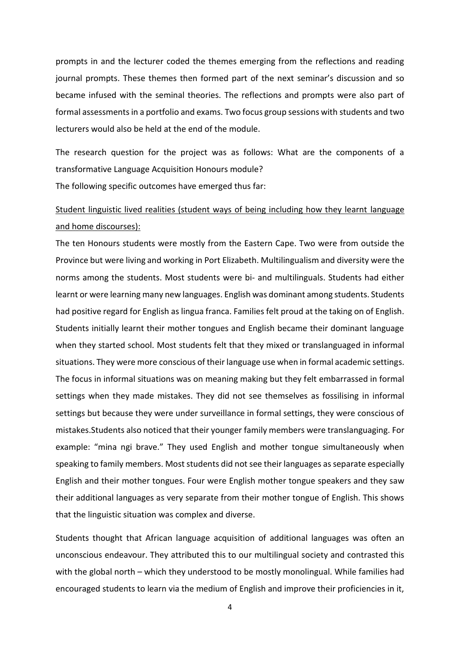prompts in and the lecturer coded the themes emerging from the reflections and reading journal prompts. These themes then formed part of the next seminar's discussion and so became infused with the seminal theories. The reflections and prompts were also part of formal assessments in a portfolio and exams. Two focus group sessions with students and two lecturers would also be held at the end of the module.

The research question for the project was as follows: What are the components of a transformative Language Acquisition Honours module? The following specific outcomes have emerged thus far:

# Student linguistic lived realities (student ways of being including how they learnt language and home discourses):

The ten Honours students were mostly from the Eastern Cape. Two were from outside the Province but were living and working in Port Elizabeth. Multilingualism and diversity were the norms among the students. Most students were bi- and multilinguals. Students had either learnt or were learning many new languages. English was dominant among students. Students had positive regard for English as lingua franca. Families felt proud at the taking on of English. Students initially learnt their mother tongues and English became their dominant language when they started school. Most students felt that they mixed or translanguaged in informal situations. They were more conscious of their language use when in formal academic settings. The focus in informal situations was on meaning making but they felt embarrassed in formal settings when they made mistakes. They did not see themselves as fossilising in informal settings but because they were under surveillance in formal settings, they were conscious of mistakes.Students also noticed that their younger family members were translanguaging. For example: "mina ngi brave." They used English and mother tongue simultaneously when speaking to family members. Most students did not see their languages as separate especially English and their mother tongues. Four were English mother tongue speakers and they saw their additional languages as very separate from their mother tongue of English. This shows that the linguistic situation was complex and diverse.

Students thought that African language acquisition of additional languages was often an unconscious endeavour. They attributed this to our multilingual society and contrasted this with the global north – which they understood to be mostly monolingual. While families had encouraged students to learn via the medium of English and improve their proficiencies in it,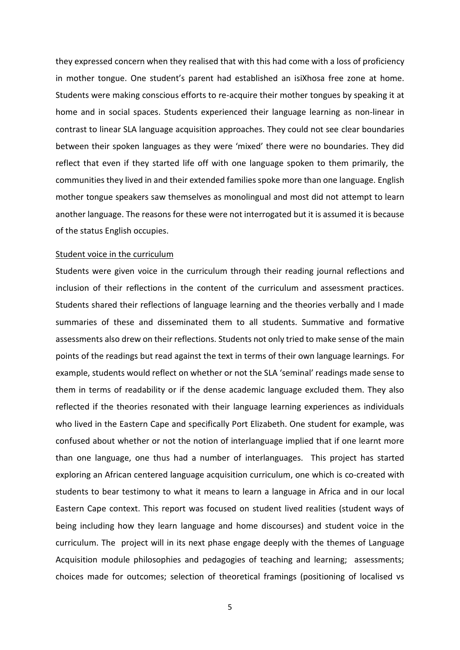they expressed concern when they realised that with this had come with a loss of proficiency in mother tongue. One student's parent had established an isiXhosa free zone at home. Students were making conscious efforts to re-acquire their mother tongues by speaking it at home and in social spaces. Students experienced their language learning as non-linear in contrast to linear SLA language acquisition approaches. They could not see clear boundaries between their spoken languages as they were 'mixed' there were no boundaries. They did reflect that even if they started life off with one language spoken to them primarily, the communities they lived in and their extended families spoke more than one language. English mother tongue speakers saw themselves as monolingual and most did not attempt to learn another language. The reasons for these were not interrogated but it is assumed it is because of the status English occupies.

#### Student voice in the curriculum

Students were given voice in the curriculum through their reading journal reflections and inclusion of their reflections in the content of the curriculum and assessment practices. Students shared their reflections of language learning and the theories verbally and I made summaries of these and disseminated them to all students. Summative and formative assessments also drew on their reflections. Students not only tried to make sense of the main points of the readings but read against the text in terms of their own language learnings. For example, students would reflect on whether or not the SLA 'seminal' readings made sense to them in terms of readability or if the dense academic language excluded them. They also reflected if the theories resonated with their language learning experiences as individuals who lived in the Eastern Cape and specifically Port Elizabeth. One student for example, was confused about whether or not the notion of interlanguage implied that if one learnt more than one language, one thus had a number of interlanguages. This project has started exploring an African centered language acquisition curriculum, one which is co-created with students to bear testimony to what it means to learn a language in Africa and in our local Eastern Cape context. This report was focused on student lived realities (student ways of being including how they learn language and home discourses) and student voice in the curriculum. The project will in its next phase engage deeply with the themes of Language Acquisition module philosophies and pedagogies of teaching and learning; assessments; choices made for outcomes; selection of theoretical framings (positioning of localised vs